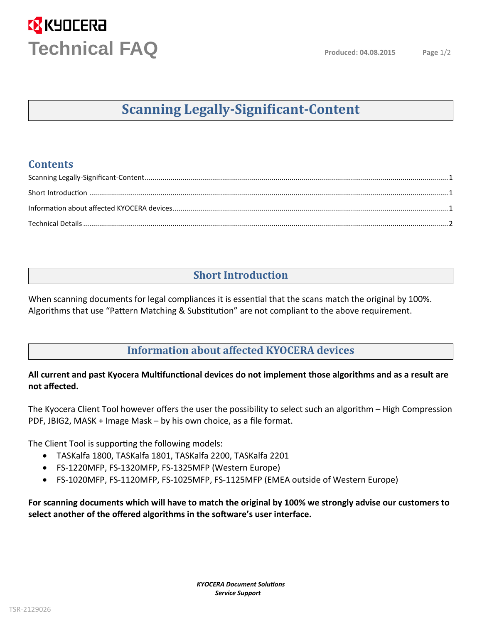# **EX** KYOCERA **Technical FAQ**

## **Scanning Legally-Signi�icant-Content**

#### <span id="page-0-0"></span>**Contents**

### **Short Introduction**

<span id="page-0-1"></span>When scanning documents for legal compliances it is essential that the scans match the original by 100%. Algorithms that use "Pattern Matching & Substitution" are not compliant to the above requirement.

### **Information about affected KYOCERA devices**

#### <span id="page-0-2"></span>**All current and past Kyocera Multifunctional devices do not implement those algorithms and as a result ar not affected.**

The Kyocera Client Tool however offers the user the possibility to select such an algorithm – High Compression PDF, JBIG2, MASK + Image Mask – by his own choice, as a file format.

The Client Tool is supporting the following models:

- TASKalfa1800, TASKalfa 1801, TASKalfa 2200, TASKalfa 2201
- FS-1220MFP, FS-1320MFP, FS-1325MFP (Western Europe)
- FS-1020MFP, FS-1120MFP, FS-1025MFP, FS-1125MFP (EMEA outside of Western Europe)

**For scanning documents which will have to match the original by 100% we strongly advise our customers to select another of the offered algorithms in the software's user interface**